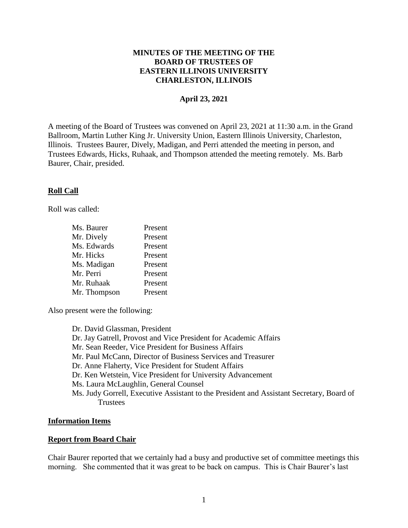## **MINUTES OF THE MEETING OF THE BOARD OF TRUSTEES OF EASTERN ILLINOIS UNIVERSITY CHARLESTON, ILLINOIS**

## **April 23, 2021**

A meeting of the Board of Trustees was convened on April 23, 2021 at 11:30 a.m. in the Grand Ballroom, Martin Luther King Jr. University Union, Eastern Illinois University, Charleston, Illinois. Trustees Baurer, Dively, Madigan, and Perri attended the meeting in person, and Trustees Edwards, Hicks, Ruhaak, and Thompson attended the meeting remotely. Ms. Barb Baurer, Chair, presided.

## **Roll Call**

Roll was called:

| Ms. Baurer   | Present |
|--------------|---------|
| Mr. Dively   | Present |
| Ms. Edwards  | Present |
| Mr. Hicks    | Present |
| Ms. Madigan  | Present |
| Mr. Perri    | Present |
| Mr. Ruhaak   | Present |
| Mr. Thompson | Present |

Also present were the following:

Dr. David Glassman, President Dr. Jay Gatrell, Provost and Vice President for Academic Affairs Mr. Sean Reeder, Vice President for Business Affairs Mr. Paul McCann, Director of Business Services and Treasurer Dr. Anne Flaherty, Vice President for Student Affairs Dr. Ken Wetstein, Vice President for University Advancement Ms. Laura McLaughlin, General Counsel Ms. Judy Gorrell, Executive Assistant to the President and Assistant Secretary, Board of **Trustees** 

### **Information Items**

### **Report from Board Chair**

Chair Baurer reported that we certainly had a busy and productive set of committee meetings this morning. She commented that it was great to be back on campus. This is Chair Baurer's last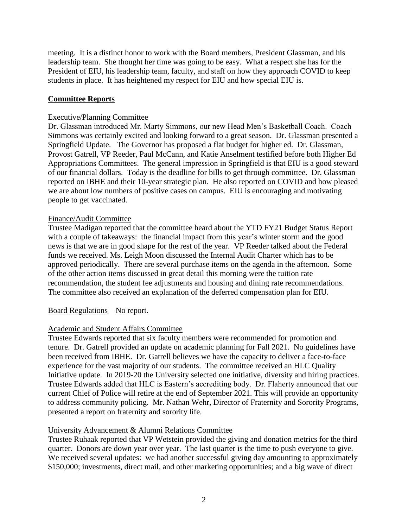meeting. It is a distinct honor to work with the Board members, President Glassman, and his leadership team. She thought her time was going to be easy. What a respect she has for the President of EIU, his leadership team, faculty, and staff on how they approach COVID to keep students in place. It has heightened my respect for EIU and how special EIU is.

# **Committee Reports**

## Executive/Planning Committee

Dr. Glassman introduced Mr. Marty Simmons, our new Head Men's Basketball Coach. Coach Simmons was certainly excited and looking forward to a great season. Dr. Glassman presented a Springfield Update. The Governor has proposed a flat budget for higher ed. Dr. Glassman, Provost Gatrell, VP Reeder, Paul McCann, and Katie Anselment testified before both Higher Ed Appropriations Committees. The general impression in Springfield is that EIU is a good steward of our financial dollars. Today is the deadline for bills to get through committee. Dr. Glassman reported on IBHE and their 10-year strategic plan. He also reported on COVID and how pleased we are about low numbers of positive cases on campus. EIU is encouraging and motivating people to get vaccinated.

### Finance/Audit Committee

Trustee Madigan reported that the committee heard about the YTD FY21 Budget Status Report with a couple of takeaways: the financial impact from this year's winter storm and the good news is that we are in good shape for the rest of the year. VP Reeder talked about the Federal funds we received. Ms. Leigh Moon discussed the Internal Audit Charter which has to be approved periodically. There are several purchase items on the agenda in the afternoon. Some of the other action items discussed in great detail this morning were the tuition rate recommendation, the student fee adjustments and housing and dining rate recommendations. The committee also received an explanation of the deferred compensation plan for EIU.

### Board Regulations – No report.

# Academic and Student Affairs Committee

Trustee Edwards reported that six faculty members were recommended for promotion and tenure. Dr. Gatrell provided an update on academic planning for Fall 2021. No guidelines have been received from IBHE. Dr. Gatrell believes we have the capacity to deliver a face-to-face experience for the vast majority of our students. The committee received an HLC Quality Initiative update. In 2019-20 the University selected one initiative, diversity and hiring practices. Trustee Edwards added that HLC is Eastern's accrediting body. Dr. Flaherty announced that our current Chief of Police will retire at the end of September 2021. This will provide an opportunity to address community policing. Mr. Nathan Wehr, Director of Fraternity and Sorority Programs, presented a report on fraternity and sorority life.

### University Advancement & Alumni Relations Committee

Trustee Ruhaak reported that VP Wetstein provided the giving and donation metrics for the third quarter. Donors are down year over year. The last quarter is the time to push everyone to give. We received several updates: we had another successful giving day amounting to approximately \$150,000; investments, direct mail, and other marketing opportunities; and a big wave of direct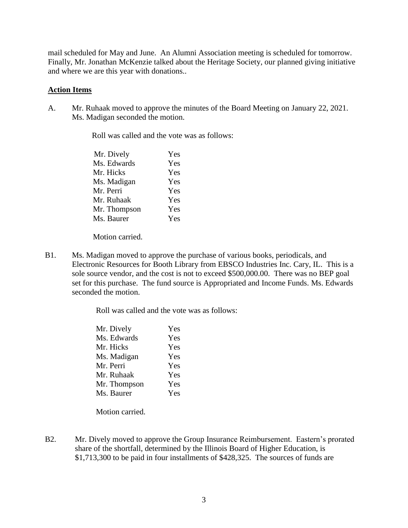mail scheduled for May and June. An Alumni Association meeting is scheduled for tomorrow. Finally, Mr. Jonathan McKenzie talked about the Heritage Society, our planned giving initiative and where we are this year with donations..

## **Action Items**

A. Mr. Ruhaak moved to approve the minutes of the Board Meeting on January 22, 2021. Ms. Madigan seconded the motion.

Roll was called and the vote was as follows:

| Mr. Dively   | Yes |
|--------------|-----|
| Ms. Edwards  | Yes |
| Mr. Hicks    | Yes |
| Ms. Madigan  | Yes |
| Mr. Perri    | Yes |
| Mr. Ruhaak   | Yes |
| Mr. Thompson | Yes |
| Ms. Baurer   | Yes |
|              |     |

Motion carried.

B1. Ms. Madigan moved to approve the purchase of various books, periodicals, and Electronic Resources for Booth Library from EBSCO Industries Inc. Cary, IL. This is a sole source vendor, and the cost is not to exceed \$500,000.00. There was no BEP goal set for this purchase. The fund source is Appropriated and Income Funds. Ms. Edwards seconded the motion.

Roll was called and the vote was as follows:

| Yes |
|-----|
| Yes |
| Yes |
| Yes |
| Yes |
| Yes |
| Yes |
| Yes |
|     |

Motion carried.

B2. Mr. Dively moved to approve the Group Insurance Reimbursement. Eastern's prorated share of the shortfall, determined by the Illinois Board of Higher Education, is \$1,713,300 to be paid in four installments of \$428,325. The sources of funds are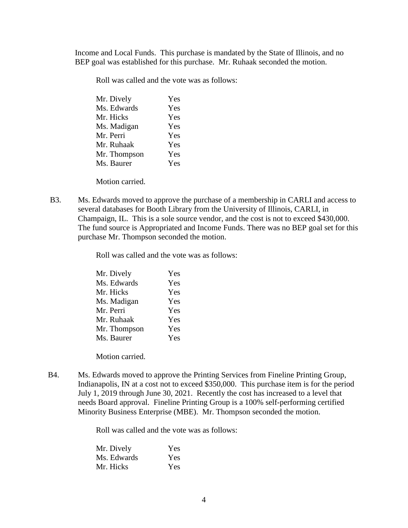Income and Local Funds. This purchase is mandated by the State of Illinois, and no BEP goal was established for this purchase. Mr. Ruhaak seconded the motion.

Roll was called and the vote was as follows:

| Yes |
|-----|
| Yes |
| Yes |
| Yes |
| Yes |
| Yes |
| Yes |
| Yes |
|     |

Motion carried.

B3. Ms. Edwards moved to approve the purchase of a membership in CARLI and access to several databases for Booth Library from the University of Illinois, CARLI, in Champaign, IL. This is a sole source vendor, and the cost is not to exceed \$430,000. The fund source is Appropriated and Income Funds. There was no BEP goal set for this purchase Mr. Thompson seconded the motion.

Roll was called and the vote was as follows:

| Mr. Dively   | Yes |
|--------------|-----|
| Ms. Edwards  | Yes |
| Mr. Hicks    | Yes |
| Ms. Madigan  | Yes |
| Mr. Perri    | Yes |
| Mr. Ruhaak   | Yes |
| Mr. Thompson | Yes |
| Ms. Baurer   | Yes |

Motion carried.

B4. Ms. Edwards moved to approve the Printing Services from Fineline Printing Group, Indianapolis, IN at a cost not to exceed \$350,000. This purchase item is for the period July 1, 2019 through June 30, 2021. Recently the cost has increased to a level that needs Board approval. Fineline Printing Group is a 100% self-performing certified Minority Business Enterprise (MBE). Mr. Thompson seconded the motion.

| Mr. Dively  | <b>Yes</b> |
|-------------|------------|
| Ms. Edwards | <b>Yes</b> |
| Mr. Hicks   | <b>Yes</b> |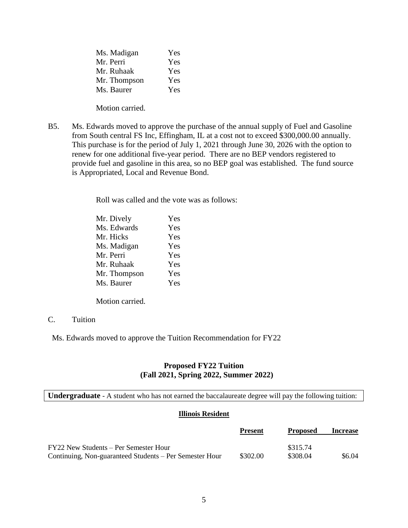| Ms. Madigan  | <b>Yes</b> |
|--------------|------------|
| Mr. Perri    | Yes        |
| Mr. Ruhaak   | Yes        |
| Mr. Thompson | <b>Yes</b> |
| Ms. Baurer   | Yes        |

Motion carried.

B5. Ms. Edwards moved to approve the purchase of the annual supply of Fuel and Gasoline from South central FS Inc, Effingham, IL at a cost not to exceed \$300,000.00 annually. This purchase is for the period of July 1, 2021 through June 30, 2026 with the option to renew for one additional five-year period. There are no BEP vendors registered to provide fuel and gasoline in this area, so no BEP goal was established. The fund source is Appropriated, Local and Revenue Bond.

Roll was called and the vote was as follows:

| Yes |
|-----|
| Yes |
| Yes |
| Yes |
| Yes |
| Yes |
| Yes |
| Yes |
|     |

Motion carried.

C. Tuition

Ms. Edwards moved to approve the Tuition Recommendation for FY22

#### **Proposed FY22 Tuition (Fall 2021, Spring 2022, Summer 2022)**

**Undergraduate** - A student who has not earned the baccalaureate degree will pay the following tuition:

#### **Illinois Resident**

|                                                         | <b>Present</b> | <b>Proposed</b> | <b>Increase</b> |
|---------------------------------------------------------|----------------|-----------------|-----------------|
| FY22 New Students – Per Semester Hour                   |                | \$315.74        |                 |
| Continuing, Non-guaranteed Students – Per Semester Hour | \$302.00       | \$308.04        | \$6.04          |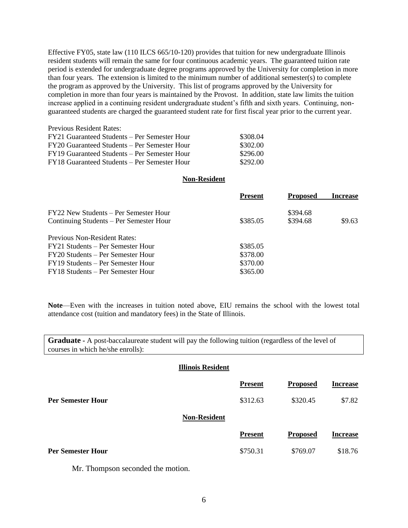Effective FY05, state law (110 ILCS 665/10-120) provides that tuition for new undergraduate Illinois resident students will remain the same for four continuous academic years. The guaranteed tuition rate period is extended for undergraduate degree programs approved by the University for completion in more than four years. The extension is limited to the minimum number of additional semester(s) to complete the program as approved by the University. This list of programs approved by the University for completion in more than four years is maintained by the Provost. In addition, state law limits the tuition increase applied in a continuing resident undergraduate student's fifth and sixth years. Continuing, nonguaranteed students are charged the guaranteed student rate for first fiscal year prior to the current year.

| Previous Resident Rates:                     |          |
|----------------------------------------------|----------|
| FY21 Guaranteed Students – Per Semester Hour | \$308.04 |
| FY20 Guaranteed Students – Per Semester Hour | \$302.00 |
| FY19 Guaranteed Students – Per Semester Hour | \$296.00 |
| FY18 Guaranteed Students – Per Semester Hour | \$292.00 |

#### **Non-Resident**

|                                         | <b>Present</b> | <b>Proposed</b> | <b>Increase</b> |
|-----------------------------------------|----------------|-----------------|-----------------|
| FY22 New Students – Per Semester Hour   |                | \$394.68        |                 |
| Continuing Students – Per Semester Hour | \$385.05       | \$394.68        | \$9.63          |
| Previous Non-Resident Rates:            |                |                 |                 |
| FY21 Students – Per Semester Hour       | \$385.05       |                 |                 |
| FY20 Students – Per Semester Hour       | \$378.00       |                 |                 |
| FY19 Students – Per Semester Hour       | \$370.00       |                 |                 |
| FY18 Students – Per Semester Hour       | \$365.00       |                 |                 |

**Note**—Even with the increases in tuition noted above, EIU remains the school with the lowest total attendance cost (tuition and mandatory fees) in the State of Illinois.

**Graduate -** A post-baccalaureate student will pay the following tuition (regardless of the level of courses in which he/she enrolls):

|                          | <b>Illinois Resident</b> |                |                 |                 |
|--------------------------|--------------------------|----------------|-----------------|-----------------|
|                          |                          | <b>Present</b> | <b>Proposed</b> | <b>Increase</b> |
| <b>Per Semester Hour</b> |                          | \$312.63       | \$320.45        | \$7.82          |
|                          | <b>Non-Resident</b>      |                |                 |                 |
|                          |                          | <b>Present</b> | <b>Proposed</b> | <b>Increase</b> |
| <b>Per Semester Hour</b> |                          | \$750.31       | \$769.07        | \$18.76         |
|                          |                          |                |                 |                 |

Mr. Thompson seconded the motion.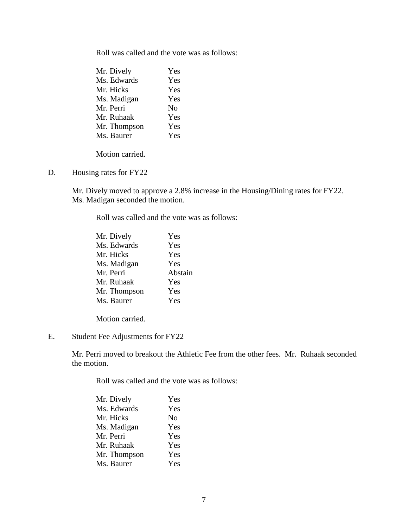Roll was called and the vote was as follows:

| Mr. Dively   | Yes            |
|--------------|----------------|
| Ms. Edwards  | Yes            |
| Mr. Hicks    | Yes            |
| Ms. Madigan  | Yes            |
| Mr. Perri    | N <sub>0</sub> |
| Mr. Ruhaak   | Yes            |
| Mr. Thompson | Yes            |
| Ms. Baurer   | Yes            |
|              |                |

Motion carried.

D. Housing rates for FY22

Mr. Dively moved to approve a 2.8% increase in the Housing/Dining rates for FY22. Ms. Madigan seconded the motion.

Roll was called and the vote was as follows:

| Mr. Dively   | Yes     |
|--------------|---------|
| Ms. Edwards  | Yes     |
| Mr. Hicks    | Yes     |
| Ms. Madigan  | Yes     |
| Mr. Perri    | Abstain |
| Mr. Ruhaak   | Yes     |
| Mr. Thompson | Yes     |
| Ms. Baurer   | Yes     |

Motion carried.

E. Student Fee Adjustments for FY22

Mr. Perri moved to breakout the Athletic Fee from the other fees. Mr. Ruhaak seconded the motion.

| Mr. Dively   | Yes |
|--------------|-----|
| Ms. Edwards  | Yes |
| Mr. Hicks    | No  |
| Ms. Madigan  | Yes |
| Mr. Perri    | Yes |
| Mr. Ruhaak   | Yes |
| Mr. Thompson | Yes |
| Ms. Baurer   | Yes |
|              |     |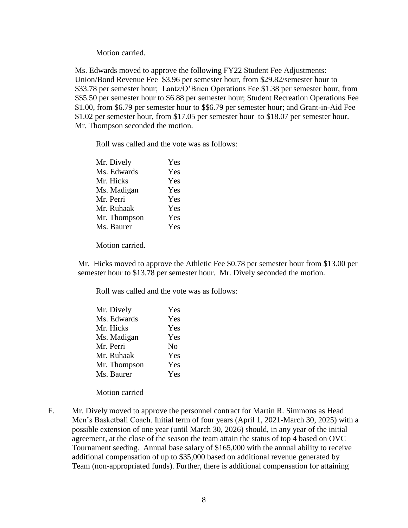Motion carried.

Ms. Edwards moved to approve the following FY22 Student Fee Adjustments: Union/Bond Revenue Fee \$3.96 per semester hour, from \$29.82/semester hour to \$33.78 per semester hour; Lantz/O'Brien Operations Fee \$1.38 per semester hour, from \$\$5.50 per semester hour to \$6.88 per semester hour; Student Recreation Operations Fee \$1.00, from \$6.79 per semester hour to \$\$6.79 per semester hour; and Grant-in-Aid Fee \$1.02 per semester hour, from \$17.05 per semester hour to \$18.07 per semester hour. Mr. Thompson seconded the motion.

Roll was called and the vote was as follows:

| Yes |
|-----|
| Yes |
| Yes |
| Yes |
| Yes |
| Yes |
| Yes |
| Yes |
|     |

Motion carried.

Mr. Hicks moved to approve the Athletic Fee \$0.78 per semester hour from \$13.00 per semester hour to \$13.78 per semester hour. Mr. Dively seconded the motion.

Roll was called and the vote was as follows:

| Mr. Dively   | Yes |
|--------------|-----|
| Ms. Edwards  | Yes |
| Mr. Hicks    | Yes |
| Ms. Madigan  | Yes |
| Mr. Perri    | No  |
| Mr. Ruhaak   | Yes |
| Mr. Thompson | Yes |
| Ms. Baurer   | Yes |
|              |     |

Motion carried

F. Mr. Dively moved to approve the personnel contract for Martin R. Simmons as Head Men's Basketball Coach. Initial term of four years (April 1, 2021-March 30, 2025) with a possible extension of one year (until March 30, 2026) should, in any year of the initial agreement, at the close of the season the team attain the status of top 4 based on OVC Tournament seeding. Annual base salary of \$165,000 with the annual ability to receive additional compensation of up to \$35,000 based on additional revenue generated by Team (non-appropriated funds). Further, there is additional compensation for attaining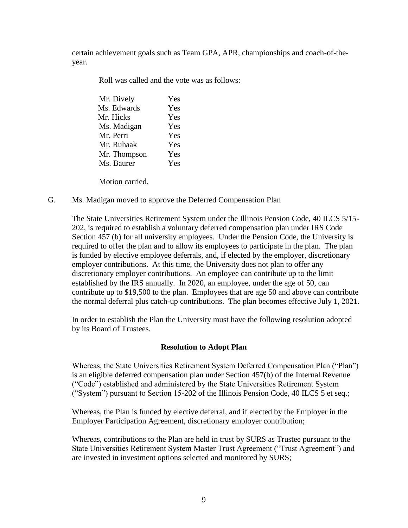certain achievement goals such as Team GPA, APR, championships and coach-of-theyear.

Roll was called and the vote was as follows:

| Mr. Dively   | Yes |
|--------------|-----|
| Ms. Edwards  | Yes |
| Mr. Hicks    | Yes |
| Ms. Madigan  | Yes |
| Mr. Perri    | Yes |
| Mr. Ruhaak   | Yes |
| Mr. Thompson | Yes |
| Ms. Baurer   | Yes |
|              |     |

Motion carried.

### G. Ms. Madigan moved to approve the Deferred Compensation Plan

The State Universities Retirement System under the Illinois Pension Code, 40 ILCS 5/15- 202, is required to establish a voluntary deferred compensation plan under IRS Code Section 457 (b) for all university employees. Under the Pension Code, the University is required to offer the plan and to allow its employees to participate in the plan. The plan is funded by elective employee deferrals, and, if elected by the employer, discretionary employer contributions. At this time, the University does not plan to offer any discretionary employer contributions. An employee can contribute up to the limit established by the IRS annually. In 2020, an employee, under the age of 50, can contribute up to \$19,500 to the plan. Employees that are age 50 and above can contribute the normal deferral plus catch-up contributions. The plan becomes effective July 1, 2021.

In order to establish the Plan the University must have the following resolution adopted by its Board of Trustees.

### **Resolution to Adopt Plan**

Whereas, the State Universities Retirement System Deferred Compensation Plan ("Plan") is an eligible deferred compensation plan under Section 457(b) of the Internal Revenue ("Code") established and administered by the State Universities Retirement System ("System") pursuant to Section 15-202 of the Illinois Pension Code, 40 ILCS 5 et seq.;

Whereas, the Plan is funded by elective deferral, and if elected by the Employer in the Employer Participation Agreement, discretionary employer contribution;

Whereas, contributions to the Plan are held in trust by SURS as Trustee pursuant to the State Universities Retirement System Master Trust Agreement ("Trust Agreement") and are invested in investment options selected and monitored by SURS;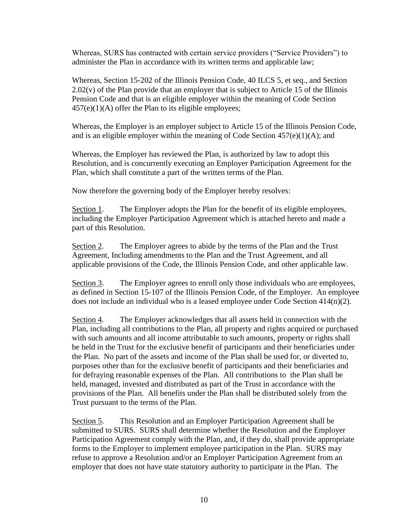Whereas, SURS has contracted with certain service providers ("Service Providers") to administer the Plan in accordance with its written terms and applicable law;

Whereas, Section 15-202 of the Illinois Pension Code, 40 ILCS 5, et seq., and Section 2.02(v) of the Plan provide that an employer that is subject to Article 15 of the Illinois Pension Code and that is an eligible employer within the meaning of Code Section  $457(e)(1)(A)$  offer the Plan to its eligible employees;

Whereas, the Employer is an employer subject to Article 15 of the Illinois Pension Code, and is an eligible employer within the meaning of Code Section  $457(e)(1)(A)$ ; and

Whereas, the Employer has reviewed the Plan, is authorized by law to adopt this Resolution, and is concurrently executing an Employer Participation Agreement for the Plan, which shall constitute a part of the written terms of the Plan.

Now therefore the governing body of the Employer hereby resolves:

Section 1. The Employer adopts the Plan for the benefit of its eligible employees, including the Employer Participation Agreement which is attached hereto and made a part of this Resolution.

Section 2. The Employer agrees to abide by the terms of the Plan and the Trust Agreement, Including amendments to the Plan and the Trust Agreement, and all applicable provisions of the Code, the Illinois Pension Code, and other applicable law.

Section 3. The Employer agrees to enroll only those individuals who are employees, as defined in Section 15-107 of the Illinois Pension Code, of the Employer. An employee does not include an individual who is a leased employee under Code Section 414(n)(2).

Section 4. The Employer acknowledges that all assets held in connection with the Plan, including all contributions to the Plan, all property and rights acquired or purchased with such amounts and all income attributable to such amounts, property or rights shall be held in the Trust for the exclusive benefit of participants and their beneficiaries under the Plan. No part of the assets and income of the Plan shall be used for, or diverted to, purposes other than for the exclusive benefit of participants and their beneficiaries and for defraying reasonable expenses of the Plan. All contributions to the Plan shall be held, managed, invested and distributed as part of the Trust in accordance with the provisions of the Plan. All benefits under the Plan shall be distributed solely from the Trust pursuant to the terms of the Plan.

Section 5. This Resolution and an Employer Participation Agreement shall be submitted to SURS. SURS shall determine whether the Resolution and the Employer Participation Agreement comply with the Plan, and, if they do, shall provide appropriate forms to the Employer to implement employee participation in the Plan. SURS may refuse to approve a Resolution and/or an Employer Participation Agreement from an employer that does not have state statutory authority to participate in the Plan. The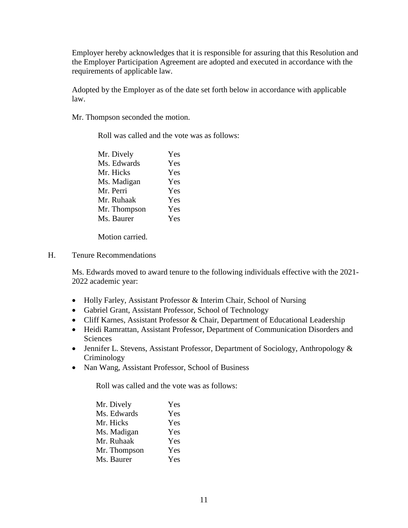Employer hereby acknowledges that it is responsible for assuring that this Resolution and the Employer Participation Agreement are adopted and executed in accordance with the requirements of applicable law.

Adopted by the Employer as of the date set forth below in accordance with applicable law.

Mr. Thompson seconded the motion.

Roll was called and the vote was as follows:

| Yes |
|-----|
| Yes |
| Yes |
| Yes |
| Yes |
| Yes |
| Yes |
| Yes |
|     |

Motion carried.

H. Tenure Recommendations

Ms. Edwards moved to award tenure to the following individuals effective with the 2021- 2022 academic year:

- Holly Farley, Assistant Professor & Interim Chair, School of Nursing
- Gabriel Grant, Assistant Professor, School of Technology
- Cliff Karnes, Assistant Professor & Chair, Department of Educational Leadership
- Heidi Ramrattan, Assistant Professor, Department of Communication Disorders and **Sciences**
- Jennifer L. Stevens, Assistant Professor, Department of Sociology, Anthropology & Criminology
- Nan Wang, Assistant Professor, School of Business

| Mr. Dively   | Yes |
|--------------|-----|
| Ms. Edwards  | Yes |
| Mr. Hicks    | Yes |
| Ms. Madigan  | Yes |
| Mr. Ruhaak   | Yes |
| Mr. Thompson | Yes |
| Ms. Baurer   | Yes |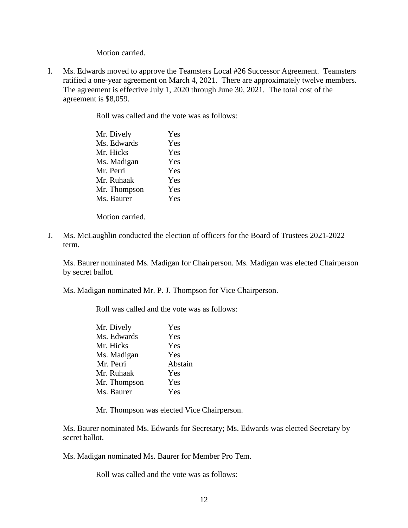Motion carried.

I. Ms. Edwards moved to approve the Teamsters Local #26 Successor Agreement. Teamsters ratified a one-year agreement on March 4, 2021. There are approximately twelve members. The agreement is effective July 1, 2020 through June 30, 2021. The total cost of the agreement is \$8,059.

Roll was called and the vote was as follows:

| Yes |
|-----|
| Yes |
| Yes |
| Yes |
| Yes |
| Yes |
| Yes |
| Yes |
|     |

Motion carried.

J. Ms. McLaughlin conducted the election of officers for the Board of Trustees 2021-2022 term.

Ms. Baurer nominated Ms. Madigan for Chairperson. Ms. Madigan was elected Chairperson by secret ballot.

Ms. Madigan nominated Mr. P. J. Thompson for Vice Chairperson.

Roll was called and the vote was as follows:

| Mr. Dively   | Yes     |
|--------------|---------|
| Ms. Edwards  | Yes     |
| Mr. Hicks    | Yes     |
| Ms. Madigan  | Yes     |
| Mr. Perri    | Abstain |
| Mr. Ruhaak   | Yes     |
| Mr. Thompson | Yes     |
| Ms. Baurer   | Yes     |
|              |         |

Mr. Thompson was elected Vice Chairperson.

Ms. Baurer nominated Ms. Edwards for Secretary; Ms. Edwards was elected Secretary by secret ballot.

Ms. Madigan nominated Ms. Baurer for Member Pro Tem.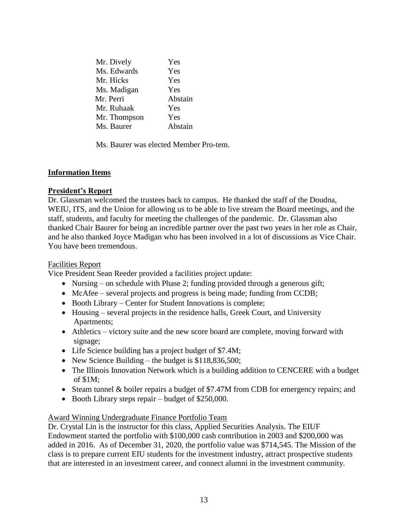| Mr. Dively   | Yes     |
|--------------|---------|
| Ms. Edwards  | Yes     |
| Mr. Hicks    | Yes     |
| Ms. Madigan  | Yes     |
| Mr. Perri    | Abstain |
| Mr. Ruhaak   | Yes     |
| Mr. Thompson | Yes     |
| Ms. Baurer   | Abstain |

Ms. Baurer was elected Member Pro-tem.

## **Information Items**

## **President's Report**

Dr. Glassman welcomed the trustees back to campus. He thanked the staff of the Doudna, WEIU, ITS, and the Union for allowing us to be able to live stream the Board meetings, and the staff, students, and faculty for meeting the challenges of the pandemic. Dr. Glassman also thanked Chair Baurer for being an incredible partner over the past two years in her role as Chair, and he also thanked Joyce Madigan who has been involved in a lot of discussions as Vice Chair. You have been tremendous.

## Facilities Report

Vice President Sean Reeder provided a facilities project update:

- Nursing on schedule with Phase 2; funding provided through a generous gift;
- McAfee several projects and progress is being made; funding from CCDB;
- Booth Library Center for Student Innovations is complete;
- Housing several projects in the residence halls, Greek Court, and University Apartments;
- Athletics victory suite and the new score board are complete, moving forward with signage;
- Life Science building has a project budget of \$7.4M;
- New Science Building the budget is \$118,836,500;
- The Illinois Innovation Network which is a building addition to CENCERE with a budget of \$1M;
- Steam tunnel & boiler repairs a budget of \$7.47M from CDB for emergency repairs; and
- Booth Library steps repair budget of \$250,000.

# Award Winning Undergraduate Finance Portfolio Team

Dr. Crystal Lin is the instructor for this class, Applied Securities Analysis. The EIUF Endowment started the portfolio with \$100,000 cash contribution in 2003 and \$200,000 was added in 2016. As of December 31, 2020, the portfolio value was \$714,545. The Mission of the class is to prepare current EIU students for the investment industry, attract prospective students that are interested in an investment career, and connect alumni in the investment community.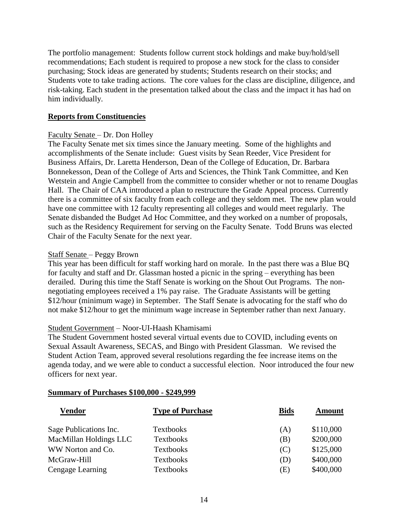The portfolio management: Students follow current stock holdings and make buy/hold/sell recommendations; Each student is required to propose a new stock for the class to consider purchasing; Stock ideas are generated by students; Students research on their stocks; and Students vote to take trading actions. The core values for the class are discipline, diligence, and risk-taking. Each student in the presentation talked about the class and the impact it has had on him individually.

## **Reports from Constituencies**

## Faculty Senate – Dr. Don Holley

The Faculty Senate met six times since the January meeting. Some of the highlights and accomplishments of the Senate include: Guest visits by Sean Reeder, Vice President for Business Affairs, Dr. Laretta Henderson, Dean of the College of Education, Dr. Barbara Bonnekesson, Dean of the College of Arts and Sciences, the Think Tank Committee, and Ken Wetstein and Angie Campbell from the committee to consider whether or not to rename Douglas Hall. The Chair of CAA introduced a plan to restructure the Grade Appeal process. Currently there is a committee of six faculty from each college and they seldom met. The new plan would have one committee with 12 faculty representing all colleges and would meet regularly. The Senate disbanded the Budget Ad Hoc Committee, and they worked on a number of proposals, such as the Residency Requirement for serving on the Faculty Senate. Todd Bruns was elected Chair of the Faculty Senate for the next year.

### Staff Senate – Peggy Brown

This year has been difficult for staff working hard on morale. In the past there was a Blue BQ for faculty and staff and Dr. Glassman hosted a picnic in the spring – everything has been derailed. During this time the Staff Senate is working on the Shout Out Programs. The nonnegotiating employees received a 1% pay raise. The Graduate Assistants will be getting \$12/hour (minimum wage) in September. The Staff Senate is advocating for the staff who do not make \$12/hour to get the minimum wage increase in September rather than next January.

### Student Government – Noor-UI-Haash Khamisami

The Student Government hosted several virtual events due to COVID, including events on Sexual Assault Awareness, SECAS, and Bingo with President Glassman. We revised the Student Action Team, approved several resolutions regarding the fee increase items on the agenda today, and we were able to conduct a successful election. Noor introduced the four new officers for next year.

| Vendor                 | <b>Type of Purchase</b> | <b>Bids</b> | <b>Amount</b> |
|------------------------|-------------------------|-------------|---------------|
| Sage Publications Inc. | <b>Textbooks</b>        | (A)         | \$110,000     |
| MacMillan Holdings LLC | <b>Textbooks</b>        | (B)         | \$200,000     |
| WW Norton and Co.      | <b>Textbooks</b>        | (C)         | \$125,000     |
| McGraw-Hill            | <b>Textbooks</b>        | (D)         | \$400,000     |
| Cengage Learning       | <b>Textbooks</b>        | (E)         | \$400,000     |

## **Summary of Purchases \$100,000 - \$249,999**